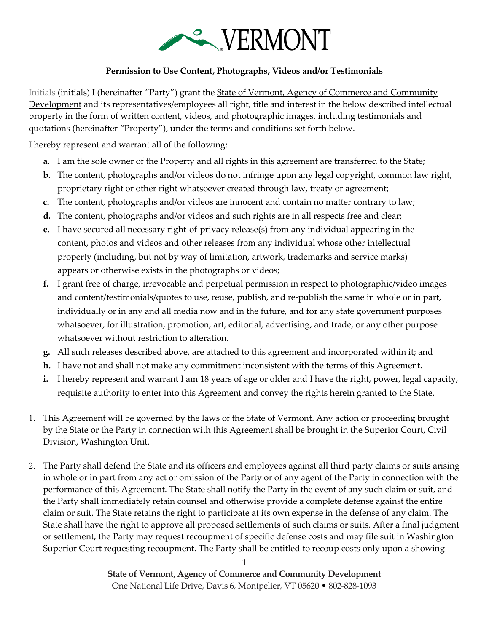

## **Permission to Use Content, Photographs, Videos and/or Testimonials**

Initials (initials) I (hereinafter "Party") grant the State of Vermont, Agency of Commerce and Community Development and its representatives/employees all right, title and interest in the below described intellectual property in the form of written content, videos, and photographic images, including testimonials and quotations (hereinafter "Property"), under the terms and conditions set forth below.

I hereby represent and warrant all of the following:

- **a.** I am the sole owner of the Property and all rights in this agreement are transferred to the State;
- **b.** The content, photographs and/or videos do not infringe upon any legal copyright, common law right, proprietary right or other right whatsoever created through law, treaty or agreement;
- **c.** The content, photographs and/or videos are innocent and contain no matter contrary to law;
- **d.** The content, photographs and/or videos and such rights are in all respects free and clear;
- **e.** I have secured all necessary right-of-privacy release(s) from any individual appearing in the content, photos and videos and other releases from any individual whose other intellectual property (including, but not by way of limitation, artwork, trademarks and service marks) appears or otherwise exists in the photographs or videos;
- **f.** I grant free of charge, irrevocable and perpetual permission in respect to photographic/video images and content/testimonials/quotes to use, reuse, publish, and re-publish the same in whole or in part, individually or in any and all media now and in the future, and for any state government purposes whatsoever, for illustration, promotion, art, editorial, advertising, and trade, or any other purpose whatsoever without restriction to alteration.
- **g.** All such releases described above, are attached to this agreement and incorporated within it; and
- **h.** I have not and shall not make any commitment inconsistent with the terms of this Agreement.
- **i.** I hereby represent and warrant I am 18 years of age or older and I have the right, power, legal capacity, requisite authority to enter into this Agreement and convey the rights herein granted to the State.
- 1. This Agreement will be governed by the laws of the State of Vermont. Any action or proceeding brought by the State or the Party in connection with this Agreement shall be brought in the Superior Court, Civil Division, Washington Unit.
- 2. The Party shall defend the State and its officers and employees against all third party claims or suits arising in whole or in part from any act or omission of the Party or of any agent of the Party in connection with the performance of this Agreement. The State shall notify the Party in the event of any such claim or suit, and the Party shall immediately retain counsel and otherwise provide a complete defense against the entire claim or suit. The State retains the right to participate at its own expense in the defense of any claim. The State shall have the right to approve all proposed settlements of such claims or suits. After a final judgment or settlement, the Party may request recoupment of specific defense costs and may file suit in Washington Superior Court requesting recoupment. The Party shall be entitled to recoup costs only upon a showing

**State of Vermont, Agency of Commerce and Community Development** One National Life Drive, Davis 6, Montpelier, VT 05620 • 802-828-1093

**1**